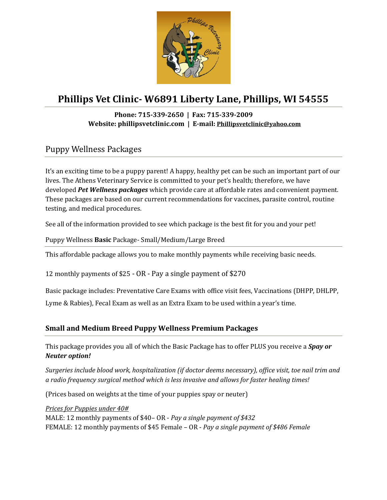

# **Phillips Vet Clinic- W6891 Liberty Lane, Phillips, WI 54555**

## **Phone: 715-339-2650 | Fax: 715-339-2009 Website: phillipsvetclinic.com | E-mail: [Phillipsvetclinic@yahoo.com](mailto:Phillipsvetclinic@yahoo.com)**

## Puppy Wellness Packages

It's an exciting time to be a puppy parent! A happy, healthy pet can be such an important part of our lives. The Athens Veterinary Service is committed to your pet's health; therefore, we have developed *Pet Wellness packages* which provide care at affordable rates and convenient payment. These packages are based on our current recommendations for vaccines, parasite control, routine testing, and medical procedures.

See all of the information provided to see which package is the best fit for you and your pet!

Puppy Wellness **Basic** Package- Small/Medium/Large Breed

This affordable package allows you to make monthly payments while receiving basic needs.

12 monthly payments of \$25 - OR - Pay a single payment of \$270

Basic package includes: Preventative Care Exams with office visit fees, Vaccinations (DHPP, DHLPP,

Lyme & Rabies), Fecal Exam as well as an Extra Exam to be used within a year's time.

## **Small and Medium Breed Puppy Wellness Premium Packages**

This package provides you all of which the Basic Package has to offer PLUS you receive a *Spay or Neuter option!* 

*Surgeries include blood work, hospitalization (if doctor deems necessary), office visit, toe nail trim and a radio frequency surgical method which is less invasive and allows for faster healing times!*

(Prices based on weights at the time of your puppies spay or neuter)

*Prices for Puppies under 40#* 

MALE: 12 monthly payments of \$40– OR - *Pay a single payment of \$432*  FEMALE: 12 monthly payments of \$45 Female – OR - *Pay a single payment of \$486 Female*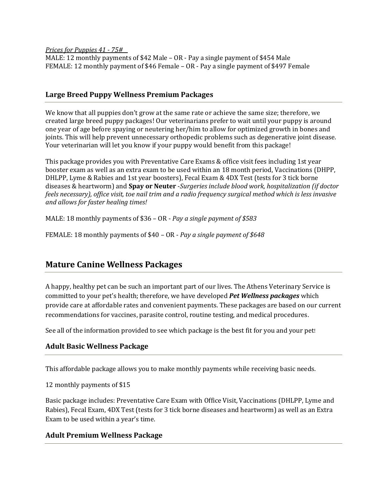*Prices for Puppies 41 - 75#\_\_*  MALE: 12 monthly payments of \$42 Male – OR - Pay a single payment of \$454 Male FEMALE: 12 monthly payment of \$46 Female – OR - Pay a single payment of \$497 Female

#### **Large Breed Puppy Wellness Premium Packages**

We know that all puppies don't grow at the same rate or achieve the same size; therefore, we created large breed puppy packages! Our veterinarians prefer to wait until your puppy is around one year of age before spaying or neutering her/him to allow for optimized growth in bones and joints. This will help prevent unnecessary orthopedic problems such as degenerative joint disease. Your veterinarian will let you know if your puppy would benefit from this package!

This package provides you with Preventative Care Exams & office visit fees including 1st year booster exam as well as an extra exam to be used within an 18 month period, Vaccinations (DHPP, DHLPP, Lyme & Rabies and 1st year boosters), Fecal Exam & 4DX Test (tests for 3 tick borne diseases & heartworm) and **Spay or Neuter** -*Surgeries include blood work, hospitalization (if doctor feels necessary), office visit, toe nail trim and a radio frequency surgical method which is less invasive and allows for faster healing times!*

MALE: 18 monthly payments of \$36 – OR - *Pay a single payment of \$583*

FEMALE: 18 monthly payments of \$40 – OR - *Pay a single payment of \$648*

## **Mature Canine Wellness Packages**

A happy, healthy pet can be such an important part of our lives. The Athens Veterinary Service is committed to your pet's health; therefore, we have developed *Pet Wellness packages* which provide care at affordable rates and convenient payments. These packages are based on our current recommendations for vaccines, parasite control, routine testing, and medical procedures.

See all of the information provided to see which package is the best fit for you and your pet!

#### **Adult Basic Wellness Package**

This affordable package allows you to make monthly payments while receiving basic needs.

12 monthly payments of \$15

Basic package includes: Preventative Care Exam with Office Visit, Vaccinations (DHLPP, Lyme and Rabies), Fecal Exam, 4DX Test (tests for 3 tick borne diseases and heartworm) as well as an Extra Exam to be used within a year's time.

#### **Adult Premium Wellness Package**